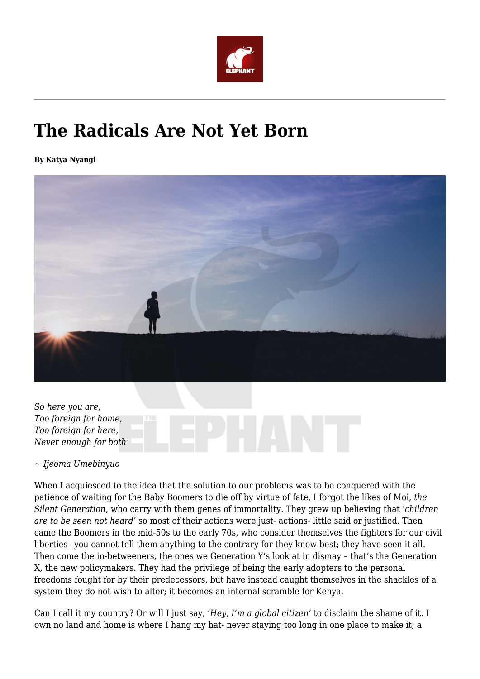

# **The Radicals Are Not Yet Born**

**By Katya Nyangi**



*So here you are, Too foreign for home, Too foreign for here, Never enough for both'*

*~ Ijeoma Umebinyuo*

When I acquiesced to the idea that the solution to our problems was to be conquered with the patience of waiting for the Baby Boomers to die off by virtue of fate, I forgot the likes of Moi, *the Silent Generation*, who carry with them genes of immortality. They grew up believing that '*children are to be seen not heard'* so most of their actions were just- actions- little said or justified. Then came the Boomers in the mid-50s to the early 70s, who consider themselves the fighters for our civil liberties– you cannot tell them anything to the contrary for they know best; they have seen it all. Then come the in-betweeners, the ones we Generation Y's look at in dismay – that's the Generation X, the new policymakers. They had the privilege of being the early adopters to the personal freedoms fought for by their predecessors, but have instead caught themselves in the shackles of a system they do not wish to alter; it becomes an internal scramble for Kenya.

Can I call it my country? Or will I just say, *'Hey, I'm a global citizen'* to disclaim the shame of it. I own no land and home is where I hang my hat- never staying too long in one place to make it; a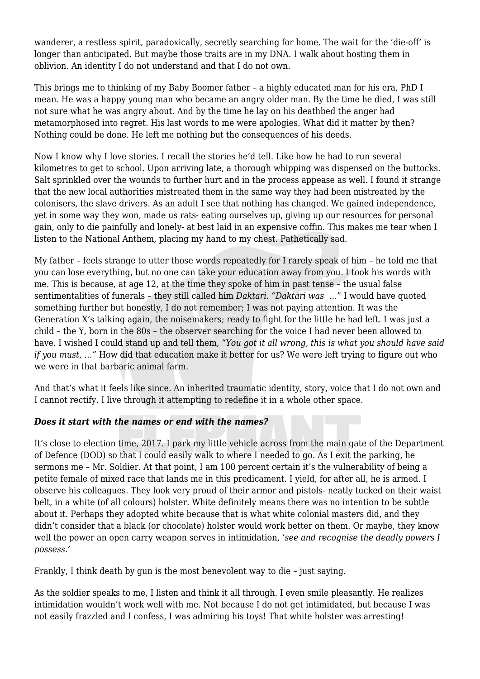wanderer, a restless spirit, paradoxically, secretly searching for home. The wait for the 'die-off' is longer than anticipated. But maybe those traits are in my DNA. I walk about hosting them in oblivion. An identity I do not understand and that I do not own.

This brings me to thinking of my Baby Boomer father – a highly educated man for his era, PhD I mean. He was a happy young man who became an angry older man. By the time he died, I was still not sure what he was angry about. And by the time he lay on his deathbed the anger had metamorphosed into regret. His last words to me were apologies. What did it matter by then? Nothing could be done. He left me nothing but the consequences of his deeds.

Now I know why I love stories. I recall the stories he'd tell. Like how he had to run several kilometres to get to school. Upon arriving late, a thorough whipping was dispensed on the buttocks. Salt sprinkled over the wounds to further hurt and in the process appease as well. I found it strange that the new local authorities mistreated them in the same way they had been mistreated by the colonisers, the slave drivers. As an adult I see that nothing has changed. We gained independence, yet in some way they won, made us rats- eating ourselves up, giving up our resources for personal gain, only to die painfully and lonely- at best laid in an expensive coffin. This makes me tear when I listen to the National Anthem, placing my hand to my chest. Pathetically sad.

My father – feels strange to utter those words repeatedly for I rarely speak of him – he told me that you can lose everything, but no one can take your education away from you. I took his words with me. This is because, at age 12, at the time they spoke of him in past tense – the usual false sentimentalities of funerals – they still called him *Daktari. "Daktari was* …" I would have quoted something further but honestly, I do not remember; I was not paying attention. It was the Generation X's talking again, the noisemakers; ready to fight for the little he had left. I was just a child – the Y, born in the 80s – the observer searching for the voice I had never been allowed to have. I wished I could stand up and tell them, "*You got it all wrong, this is what you should have said if you must, …"* How did that education make it better for us? We were left trying to figure out who we were in that barbaric animal farm.

And that's what it feels like since. An inherited traumatic identity, story, voice that I do not own and I cannot rectify. I live through it attempting to redefine it in a whole other space.

## *Does it start with the names or end with the names?*

It's close to election time, 2017. I park my little vehicle across from the main gate of the Department of Defence (DOD) so that I could easily walk to where I needed to go. As I exit the parking, he sermons me – Mr. Soldier. At that point, I am 100 percent certain it's the vulnerability of being a petite female of mixed race that lands me in this predicament. I yield, for after all, he is armed. I observe his colleagues. They look very proud of their armor and pistols- neatly tucked on their waist belt, in a white (of all colours) holster. White definitely means there was no intention to be subtle about it. Perhaps they adopted white because that is what white colonial masters did, and they didn't consider that a black (or chocolate) holster would work better on them. Or maybe, they know well the power an open carry weapon serves in intimidation, *'see and recognise the deadly powers I possess.'*

Frankly, I think death by gun is the most benevolent way to die – just saying.

As the soldier speaks to me, I listen and think it all through. I even smile pleasantly. He realizes intimidation wouldn't work well with me. Not because I do not get intimidated, but because I was not easily frazzled and I confess, I was admiring his toys! That white holster was arresting!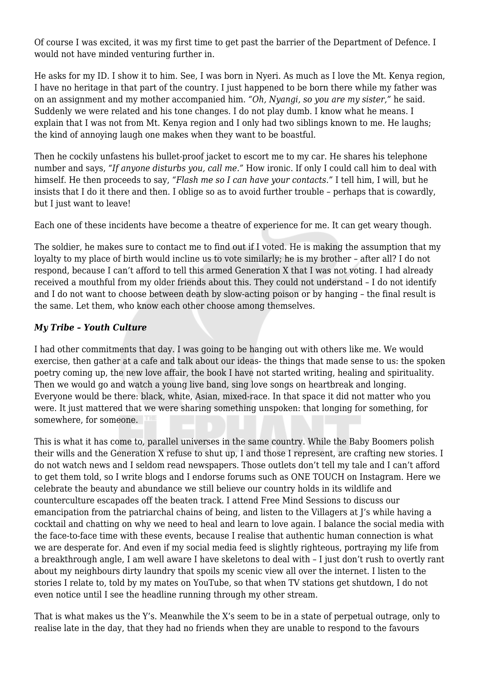Of course I was excited, it was my first time to get past the barrier of the Department of Defence. I would not have minded venturing further in.

He asks for my ID. I show it to him. See, I was born in Nyeri. As much as I love the Mt. Kenya region, I have no heritage in that part of the country. I just happened to be born there while my father was on an assignment and my mother accompanied him. *"Oh, Nyangi, so you are my sister,"* he said. Suddenly we were related and his tone changes. I do not play dumb. I know what he means. I explain that I was not from Mt. Kenya region and I only had two siblings known to me. He laughs; the kind of annoying laugh one makes when they want to be boastful.

Then he cockily unfastens his bullet-proof jacket to escort me to my car. He shares his telephone number and says, *"If anyone disturbs you, call me."* How ironic. If only I could call him to deal with himself. He then proceeds to say, *"Flash me so I can have your contacts."* I tell him, I will, but he insists that I do it there and then. I oblige so as to avoid further trouble – perhaps that is cowardly, but I just want to leave!

Each one of these incidents have become a theatre of experience for me. It can get weary though.

The soldier, he makes sure to contact me to find out if I voted. He is making the assumption that my loyalty to my place of birth would incline us to vote similarly; he is my brother – after all? I do not respond, because I can't afford to tell this armed Generation X that I was not voting. I had already received a mouthful from my older friends about this. They could not understand – I do not identify and I do not want to choose between death by slow-acting poison or by hanging – the final result is the same. Let them, who know each other choose among themselves.

## *My Tribe – Youth Culture*

I had other commitments that day. I was going to be hanging out with others like me. We would exercise, then gather at a cafe and talk about our ideas- the things that made sense to us: the spoken poetry coming up, the new love affair, the book I have not started writing, healing and spirituality. Then we would go and watch a young live band, sing love songs on heartbreak and longing. Everyone would be there: black, white, Asian, mixed-race. In that space it did not matter who you were. It just mattered that we were sharing something unspoken: that longing for something, for somewhere, for someone.

This is what it has come to, parallel universes in the same country. While the Baby Boomers polish their wills and the Generation X refuse to shut up, I and those I represent, are crafting new stories. I do not watch news and I seldom read newspapers. Those outlets don't tell my tale and I can't afford to get them told, so I write blogs and I endorse forums such as ONE TOUCH on Instagram. Here we celebrate the beauty and abundance we still believe our country holds in its wildlife and counterculture escapades off the beaten track. I attend Free Mind Sessions to discuss our emancipation from the patriarchal chains of being, and listen to the Villagers at J's while having a cocktail and chatting on why we need to heal and learn to love again. I balance the social media with the face-to-face time with these events, because I realise that authentic human connection is what we are desperate for. And even if my social media feed is slightly righteous, portraying my life from a breakthrough angle, I am well aware I have skeletons to deal with – I just don't rush to overtly rant about my neighbours dirty laundry that spoils my scenic view all over the internet. I listen to the stories I relate to, told by my mates on YouTube, so that when TV stations get shutdown, I do not even notice until I see the headline running through my other stream.

That is what makes us the Y's. Meanwhile the X's seem to be in a state of perpetual outrage, only to realise late in the day, that they had no friends when they are unable to respond to the favours